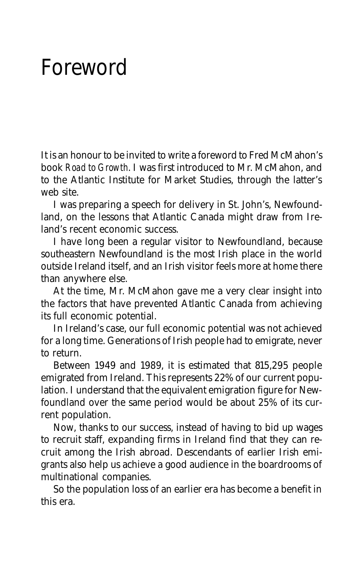## Foreword

It is an honour to be invited to write a foreword to Fred McMahon's book *Road to Growth*. I was first introduced to Mr. McMahon, and to the Atlantic Institute for Market Studies, through the latter's web site.

I was preparing a speech for delivery in St. John's, Newfoundland, on the lessons that Atlantic Canada might draw from Ireland's recent economic success.

I have long been a regular visitor to Newfoundland, because southeastern Newfoundland is the most Irish place in the world outside Ireland itself, and an Irish visitor feels more at home there than anywhere else.

At the time, Mr. McMahon gave me a very clear insight into the factors that have prevented Atlantic Canada from achieving its full economic potential.

In Ireland's case, our full economic potential was not achieved for a long time. Generations of Irish people had to emigrate, never to return.

Between 1949 and 1989, it is estimated that 815,295 people emigrated from Ireland. This represents 22% of our current population. I understand that the equivalent emigration figure for Newfoundland over the same period would be about 25% of its current population.

Now, thanks to our success, instead of having to bid up wages to recruit staff, expanding firms in Ireland find that they can recruit among the Irish abroad. Descendants of earlier Irish emigrants also help us achieve a good audience in the boardrooms of multinational companies.

So the population loss of an earlier era has become a benefit in this era.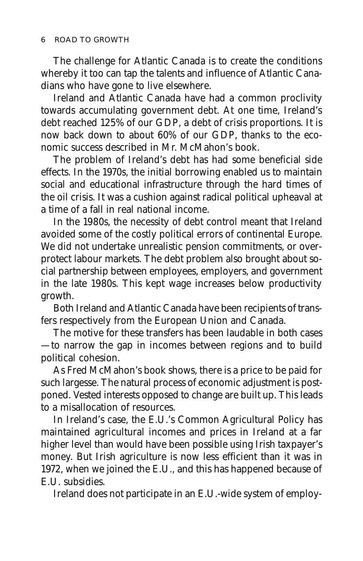The challenge for Atlantic Canada is to create the conditions whereby it too can tap the talents and influence of Atlantic Canadians who have gone to live elsewhere.

Ireland and Atlantic Canada have had a common proclivity towards accumulating government debt. At one time, Ireland's debt reached 125% of our GDP, a debt of crisis proportions. It is now back down to about 60% of our GDP, thanks to the economic success described in Mr. McMahon's book.

The problem of Ireland's debt has had some beneficial side effects. In the 1970s, the initial borrowing enabled us to maintain social and educational infrastructure through the hard times of the oil crisis. It was a cushion against radical political upheaval at a time of a fall in real national income.

In the 1980s, the necessity of debt control meant that Ireland avoided some of the costly political errors of continental Europe. We did not undertake unrealistic pension commitments, or overprotect labour markets. The debt problem also brought about social partnership between employees, employers, and government in the late 1980s. This kept wage increases below productivity growth.

Both Ireland and Atlantic Canada have been recipients of transfers respectively from the European Union and Canada.

The motive for these transfers has been laudable in both cases — to narrow the gap in incomes between regions and to build political cohesion.

As Fred McMahon's book shows, there is a price to be paid for such largesse. The natural process of economic adjustment is postponed. Vested interests opposed to change are built up. This leads to a misallocation of resources.

In Ireland's case, the E.U.'s Common Agricultural Policy has maintained agricultural incomes and prices in Ireland at a far higher level than would have been possible using Irish taxpayer's money. But Irish agriculture is now less efficient than it was in 1972, when we joined the E.U., and this has happened because of E.U. subsidies.

Ireland does not participate in an E.U.-wide system of employ-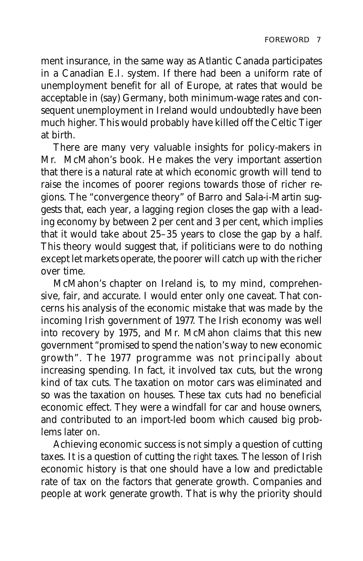ment insurance, in the same way as Atlantic Canada participates in a Canadian E.I. system. If there had been a uniform rate of unemployment benefit for all of Europe, at rates that would be acceptable in (say) Germany, both minimum-wage rates and consequent unemployment in Ireland would undoubtedly have been much higher. This would probably have killed off the Celtic Tiger at birth.

There are many very valuable insights for policy-makers in Mr. McMahon's book. He makes the very important assertion that there is a natural rate at which economic growth will tend to raise the incomes of poorer regions towards those of richer regions. The "convergence theory" of Barro and Sala-i-Martin suggests that, each year, a lagging region closes the gap with a leading economy by between 2 per cent and 3 per cent, which implies that it would take about 25–35 years to close the gap by a half. This theory would suggest that, if politicians were to do nothing except let markets operate, the poorer will catch up with the richer over time.

McMahon's chapter on Ireland is, to my mind, comprehensive, fair, and accurate. I would enter only one caveat. That concerns his analysis of the economic mistake that was made by the incoming Irish government of 1977. The Irish economy was well into recovery by 1975, and Mr. McMahon claims that this new government "promised to spend the nation's way to new economic growth". The 1977 programme was not principally about increasing spending. In fact, it involved tax cuts, but the wrong kind of tax cuts. The taxation on motor cars was eliminated and so was the taxation on houses. These tax cuts had no beneficial economic effect. They were a windfall for car and house owners, and contributed to an import-led boom which caused big problems later on.

Achieving economic success is not simply a question of cutting taxes. It is a question of cutting the *right* taxes. The lesson of Irish economic history is that one should have a low and predictable rate of tax on the factors that generate growth. Companies and people at work generate growth. That is why the priority should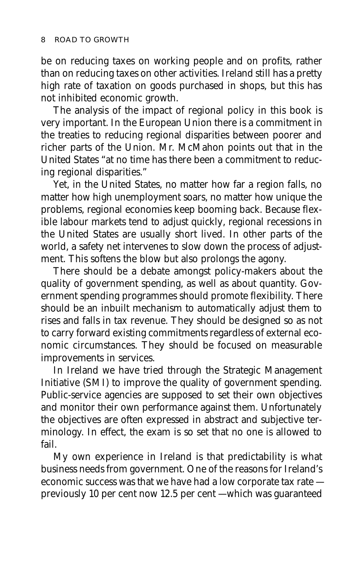be on reducing taxes on working people and on profits, rather than on reducing taxes on other activities. Ireland still has a pretty high rate of taxation on goods purchased in shops, but this has not inhibited economic growth.

The analysis of the impact of regional policy in this book is very important. In the European Union there is a commitment in the treaties to reducing regional disparities between poorer and richer parts of the Union. Mr. McMahon points out that in the United States "at no time has there been a commitment to reducing regional disparities."

Yet, in the United States, no matter how far a region falls, no matter how high unemployment soars, no matter how unique the problems, regional economies keep booming back. Because flexible labour markets tend to adjust quickly, regional recessions in the United States are usually short lived. In other parts of the world, a safety net intervenes to slow down the process of adjustment. This softens the blow but also prolongs the agony.

There should be a debate amongst policy-makers about the quality of government spending, as well as about quantity. Government spending programmes should promote flexibility. There should be an inbuilt mechanism to automatically adjust them to rises and falls in tax revenue. They should be designed so as not to carry forward existing commitments regardless of external economic circumstances. They should be focused on measurable improvements in services.

In Ireland we have tried through the Strategic Management Initiative (SMI) to improve the quality of government spending. Public-service agencies are supposed to set their own objectives and monitor their own performance against them. Unfortunately the objectives are often expressed in abstract and subjective terminology. In effect, the exam is so set that no one is allowed to fail.

My own experience in Ireland is that predictability is what business needs from government. One of the reasons for Ireland's economic success was that we have had a low corporate tax rate previously 10 per cent now 12.5 per cent — which was guaranteed